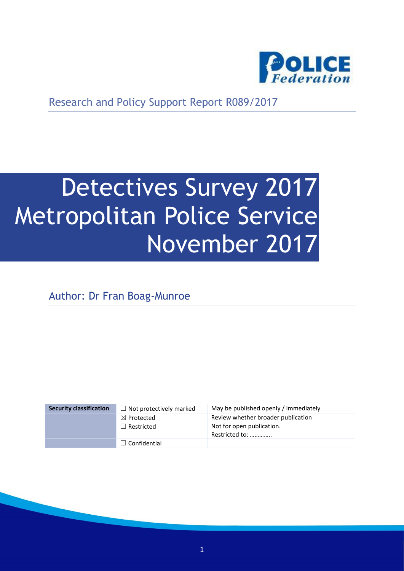

Research and Policy Support Report R089/2017

# Detectives Survey 2017 Metropolitan Police Service November 2017

Author: Dr Fran Boag-Munroe

| <b>Security classification</b> | $\Box$ Not protectively marked | May be published openly / immediately       |
|--------------------------------|--------------------------------|---------------------------------------------|
|                                | $\boxtimes$ Protected          | Review whether broader publication          |
|                                | $\Box$ Restricted              | Not for open publication.<br>Restricted to: |
|                                | $\Box$ Confidential            |                                             |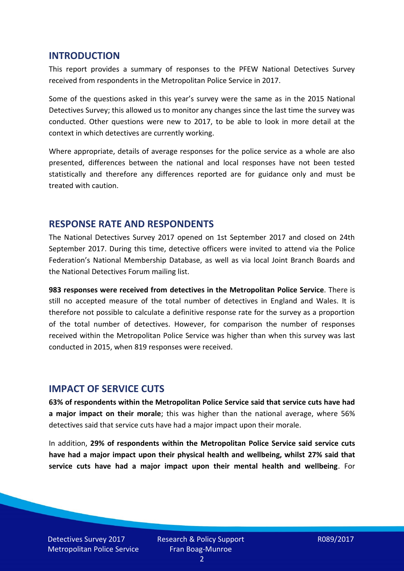#### **INTRODUCTION**

This report provides a summary of responses to the PFEW National Detectives Survey received from respondents in the Metropolitan Police Service in 2017.

Some of the questions asked in this year's survey were the same as in the 2015 National Detectives Survey; this allowed us to monitor any changes since the last time the survey was conducted. Other questions were new to 2017, to be able to look in more detail at the context in which detectives are currently working.

Where appropriate, details of average responses for the police service as a whole are also presented, differences between the national and local responses have not been tested statistically and therefore any differences reported are for guidance only and must be treated with caution.

#### **RESPONSE RATE AND RESPONDENTS**

The National Detectives Survey 2017 opened on 1st September 2017 and closed on 24th September 2017. During this time, detective officers were invited to attend via the Police Federation's National Membership Database, as well as via local Joint Branch Boards and the National Detectives Forum mailing list.

**983 responses were received from detectives in the Metropolitan Police Service**. There is still no accepted measure of the total number of detectives in England and Wales. It is therefore not possible to calculate a definitive response rate for the survey as a proportion of the total number of detectives. However, for comparison the number of responses received within the Metropolitan Police Service was higher than when this survey was last conducted in 2015, when 819 responses were received.

#### **IMPACT OF SERVICE CUTS**

**63% of respondents within the Metropolitan Police Service said that service cuts have had a major impact on their morale**; this was higher than the national average, where 56% detectives said that service cuts have had a major impact upon their morale.

In addition, **29% of respondents within the Metropolitan Police Service said service cuts have had a major impact upon their physical health and wellbeing, whilst 27% said that service cuts have had a major impact upon their mental health and wellbeing**. For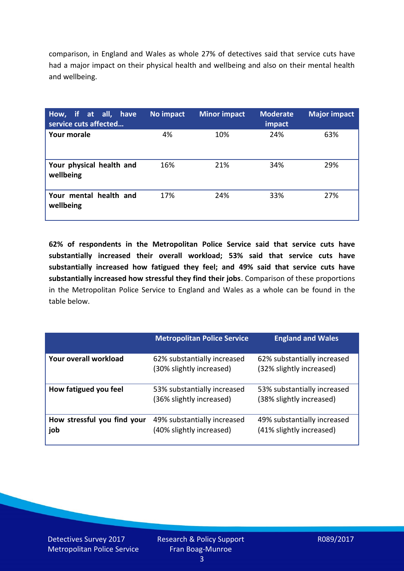comparison, in England and Wales as whole 27% of detectives said that service cuts have had a major impact on their physical health and wellbeing and also on their mental health and wellbeing.

| How, if at all, have<br>service cuts affected | No impact | <b>Minor impact</b> | <b>Moderate</b><br>impact | <b>Major impact</b> |
|-----------------------------------------------|-----------|---------------------|---------------------------|---------------------|
| Your morale                                   | 4%        | 10%                 | 24%                       | 63%                 |
| Your physical health and<br>wellbeing         | 16%       | 21%                 | 34%                       | 29%                 |
| Your mental health and<br>wellbeing           | 17%       | 24%                 | 33%                       | 27%                 |

**62% of respondents in the Metropolitan Police Service said that service cuts have substantially increased their overall workload; 53% said that service cuts have substantially increased how fatigued they feel; and 49% said that service cuts have substantially increased how stressful they find their jobs**. Comparison of these proportions in the Metropolitan Police Service to England and Wales as a whole can be found in the table below.

|                                    | <b>Metropolitan Police Service</b>                      | <b>England and Wales</b>                                |
|------------------------------------|---------------------------------------------------------|---------------------------------------------------------|
| Your overall workload              | 62% substantially increased<br>(30% slightly increased) | 62% substantially increased<br>(32% slightly increased) |
| How fatigued you feel              | 53% substantially increased<br>(36% slightly increased) | 53% substantially increased<br>(38% slightly increased) |
| How stressful you find your<br>job | 49% substantially increased<br>(40% slightly increased) | 49% substantially increased<br>(41% slightly increased) |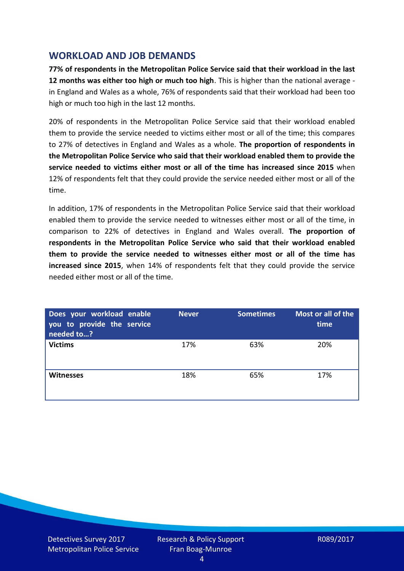## **WORKLOAD AND JOB DEMANDS**

**77% of respondents in the Metropolitan Police Service said that their workload in the last 12 months was either too high or much too high**. This is higher than the national average in England and Wales as a whole, 76% of respondents said that their workload had been too high or much too high in the last 12 months.

20% of respondents in the Metropolitan Police Service said that their workload enabled them to provide the service needed to victims either most or all of the time; this compares to 27% of detectives in England and Wales as a whole. **The proportion of respondents in the Metropolitan Police Service who said that their workload enabled them to provide the service needed to victims either most or all of the time has increased since 2015** when 12% of respondents felt that they could provide the service needed either most or all of the time.

In addition, 17% of respondents in the Metropolitan Police Service said that their workload enabled them to provide the service needed to witnesses either most or all of the time, in comparison to 22% of detectives in England and Wales overall. **The proportion of respondents in the Metropolitan Police Service who said that their workload enabled them to provide the service needed to witnesses either most or all of the time has increased since 2015**, when 14% of respondents felt that they could provide the service needed either most or all of the time.

| Does your workload enable<br>you to provide the service<br>needed to? | <b>Never</b> | <b>Sometimes</b> | Most or all of the<br>time |
|-----------------------------------------------------------------------|--------------|------------------|----------------------------|
| <b>Victims</b>                                                        | 17%          | 63%              | 20%                        |
| <b>Witnesses</b>                                                      | 18%          | 65%              | 17%                        |

Detectives Survey 2017 Metropolitan Police Service Research & Policy Support Fran Boag-Munroe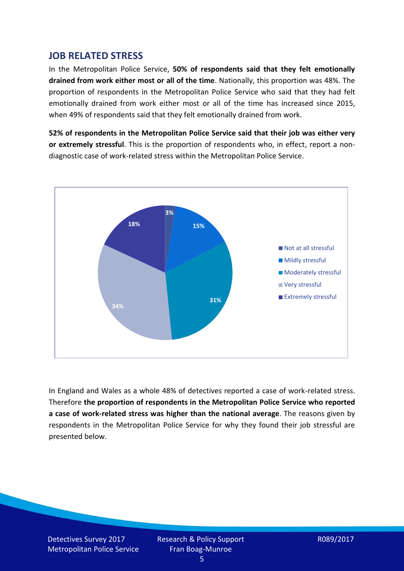## **JOB RELATED STRESS**

In the Metropolitan Police Service, **50% of respondents said that they felt emotionally drained from work either most or all of the time**. Nationally, this proportion was 48%. The proportion of respondents in the Metropolitan Police Service who said that they had felt emotionally drained from work either most or all of the time has increased since 2015, when 49% of respondents said that they felt emotionally drained from work.

**52% of respondents in the Metropolitan Police Service said that their job was either very or extremely stressful**. This is the proportion of respondents who, in effect, report a nondiagnostic case of work-related stress within the Metropolitan Police Service.



In England and Wales as a whole 48% of detectives reported a case of work-related stress. Therefore **the proportion of respondents in the Metropolitan Police Service who reported a case of work-related stress was higher than the national average**. The reasons given by respondents in the Metropolitan Police Service for why they found their job stressful are presented below.

Detectives Survey 2017 Metropolitan Police Service Research & Policy Support Fran Boag-Munroe

R089/2017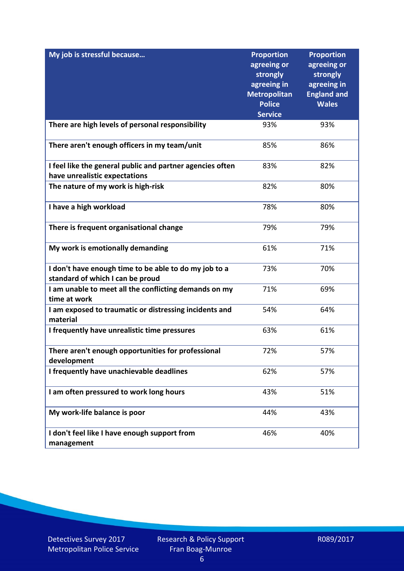| My job is stressful because                                                               | <b>Proportion</b><br>agreeing or<br>strongly<br>agreeing in<br><b>Metropolitan</b><br><b>Police</b><br><b>Service</b> | <b>Proportion</b><br>agreeing or<br>strongly<br>agreeing in<br><b>England and</b><br><b>Wales</b> |
|-------------------------------------------------------------------------------------------|-----------------------------------------------------------------------------------------------------------------------|---------------------------------------------------------------------------------------------------|
| There are high levels of personal responsibility                                          | 93%                                                                                                                   | 93%                                                                                               |
|                                                                                           |                                                                                                                       |                                                                                                   |
| There aren't enough officers in my team/unit                                              | 85%                                                                                                                   | 86%                                                                                               |
| I feel like the general public and partner agencies often                                 | 83%                                                                                                                   | 82%                                                                                               |
| have unrealistic expectations                                                             |                                                                                                                       |                                                                                                   |
| The nature of my work is high-risk                                                        | 82%                                                                                                                   | 80%                                                                                               |
| I have a high workload                                                                    | 78%                                                                                                                   | 80%                                                                                               |
| There is frequent organisational change                                                   | 79%                                                                                                                   | 79%                                                                                               |
| My work is emotionally demanding                                                          | 61%                                                                                                                   | 71%                                                                                               |
| I don't have enough time to be able to do my job to a<br>standard of which I can be proud | 73%                                                                                                                   | 70%                                                                                               |
| I am unable to meet all the conflicting demands on my<br>time at work                     | 71%                                                                                                                   | 69%                                                                                               |
| I am exposed to traumatic or distressing incidents and<br>material                        | 54%                                                                                                                   | 64%                                                                                               |
| I frequently have unrealistic time pressures                                              | 63%                                                                                                                   | 61%                                                                                               |
| There aren't enough opportunities for professional<br>development                         | 72%                                                                                                                   | 57%                                                                                               |
| I frequently have unachievable deadlines                                                  | 62%                                                                                                                   | 57%                                                                                               |
| I am often pressured to work long hours                                                   | 43%                                                                                                                   | 51%                                                                                               |
| My work-life balance is poor                                                              | 44%                                                                                                                   | 43%                                                                                               |
| I don't feel like I have enough support from<br>management                                | 46%                                                                                                                   | 40%                                                                                               |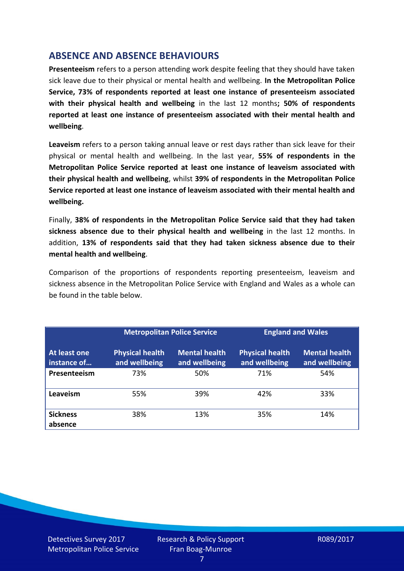## **ABSENCE AND ABSENCE BEHAVIOURS**

**Presenteeism** refers to a person attending work despite feeling that they should have taken sick leave due to their physical or mental health and wellbeing. **In the Metropolitan Police Service, 73% of respondents reported at least one instance of presenteeism associated with their physical health and wellbeing** in the last 12 months**; 50% of respondents reported at least one instance of presenteeism associated with their mental health and wellbeing**.

**Leaveism** refers to a person taking annual leave or rest days rather than sick leave for their physical or mental health and wellbeing. In the last year, **55% of respondents in the Metropolitan Police Service reported at least one instance of leaveism associated with their physical health and wellbeing**, whilst **39% of respondents in the Metropolitan Police Service reported at least one instance of leaveism associated with their mental health and wellbeing.**

Finally, **38% of respondents in the Metropolitan Police Service said that they had taken sickness absence due to their physical health and wellbeing** in the last 12 months. In addition, **13% of respondents said that they had taken sickness absence due to their mental health and wellbeing**.

Comparison of the proportions of respondents reporting presenteeism, leaveism and sickness absence in the Metropolitan Police Service with England and Wales as a whole can be found in the table below.

|                             | <b>Metropolitan Police Service</b>      |                                       | <b>England and Wales</b>                |                                       |
|-----------------------------|-----------------------------------------|---------------------------------------|-----------------------------------------|---------------------------------------|
| At least one<br>instance of | <b>Physical health</b><br>and wellbeing | <b>Mental health</b><br>and wellbeing | <b>Physical health</b><br>and wellbeing | <b>Mental health</b><br>and wellbeing |
| Presenteeism                | 73%                                     | 50%                                   | 71%                                     | 54%                                   |
| Leaveism                    | 55%                                     | 39%                                   | 42%                                     | 33%                                   |
| <b>Sickness</b><br>absence  | 38%                                     | 13%                                   | 35%                                     | 14%                                   |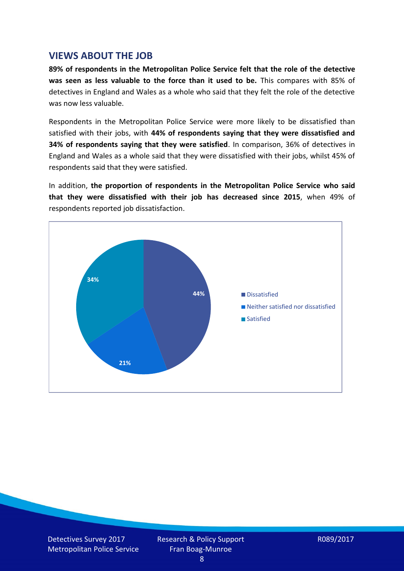#### **VIEWS ABOUT THE JOB**

**89% of respondents in the Metropolitan Police Service felt that the role of the detective was seen as less valuable to the force than it used to be.** This compares with 85% of detectives in England and Wales as a whole who said that they felt the role of the detective was now less valuable.

Respondents in the Metropolitan Police Service were more likely to be dissatisfied than satisfied with their jobs, with **44% of respondents saying that they were dissatisfied and 34% of respondents saying that they were satisfied**. In comparison, 36% of detectives in England and Wales as a whole said that they were dissatisfied with their jobs, whilst 45% of respondents said that they were satisfied.

In addition, **the proportion of respondents in the Metropolitan Police Service who said that they were dissatisfied with their job has decreased since 2015**, when 49% of respondents reported job dissatisfaction.



Detectives Survey 2017 Metropolitan Police Service Research & Policy Support Fran Boag-Munroe

R089/2017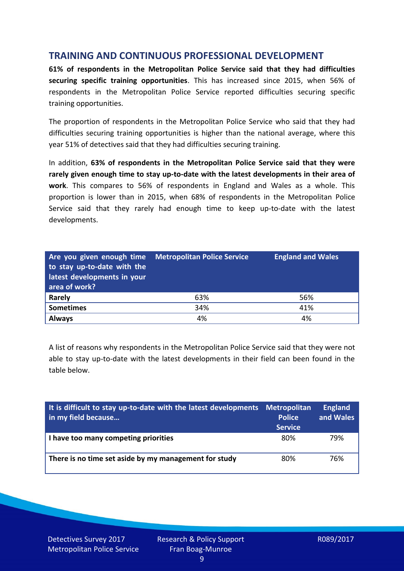## **TRAINING AND CONTINUOUS PROFESSIONAL DEVELOPMENT**

**61% of respondents in the Metropolitan Police Service said that they had difficulties securing specific training opportunities**. This has increased since 2015, when 56% of respondents in the Metropolitan Police Service reported difficulties securing specific training opportunities.

The proportion of respondents in the Metropolitan Police Service who said that they had difficulties securing training opportunities is higher than the national average, where this year 51% of detectives said that they had difficulties securing training.

In addition, **63% of respondents in the Metropolitan Police Service said that they were rarely given enough time to stay up-to-date with the latest developments in their area of work**. This compares to 56% of respondents in England and Wales as a whole. This proportion is lower than in 2015, when 68% of respondents in the Metropolitan Police Service said that they rarely had enough time to keep up-to-date with the latest developments.

| Are you given enough time Metropolitan Police Service<br>to stay up-to-date with the<br>latest developments in your<br>area of work? |     | <b>England and Wales</b> |
|--------------------------------------------------------------------------------------------------------------------------------------|-----|--------------------------|
| <b>Rarely</b>                                                                                                                        | 63% | 56%                      |
| <b>Sometimes</b>                                                                                                                     | 34% | 41%                      |
| <b>Always</b>                                                                                                                        | 4%  | 4%                       |

A list of reasons why respondents in the Metropolitan Police Service said that they were not able to stay up-to-date with the latest developments in their field can been found in the table below.

| It is difficult to stay up-to-date with the latest developments Metropolitan<br>in my field because | <b>Police</b><br><b>Service</b> | <b>England</b><br>and Wales |
|-----------------------------------------------------------------------------------------------------|---------------------------------|-----------------------------|
| I have too many competing priorities                                                                | 80%                             | 79%                         |
| There is no time set aside by my management for study                                               | 80%                             | 76%                         |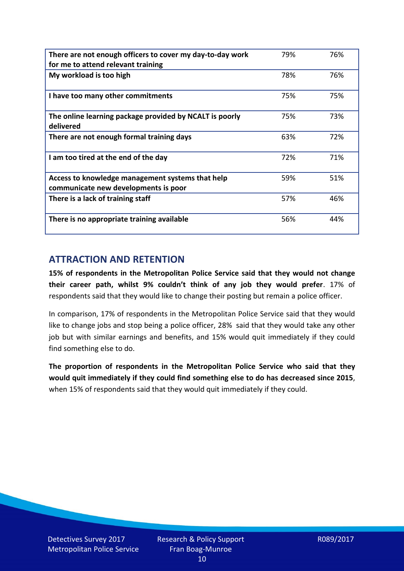| There are not enough officers to cover my day-to-day work                                | 79% | 76% |
|------------------------------------------------------------------------------------------|-----|-----|
| for me to attend relevant training                                                       |     |     |
| My workload is too high                                                                  | 78% | 76% |
| I have too many other commitments                                                        | 75% | 75% |
| The online learning package provided by NCALT is poorly<br>delivered                     | 75% | 73% |
| There are not enough formal training days                                                | 63% | 72% |
| I am too tired at the end of the day                                                     | 72% | 71% |
| Access to knowledge management systems that help<br>communicate new developments is poor | 59% | 51% |
| There is a lack of training staff                                                        | 57% | 46% |
| There is no appropriate training available                                               | 56% | 44% |

# **ATTRACTION AND RETENTION**

**15% of respondents in the Metropolitan Police Service said that they would not change their career path, whilst 9% couldn't think of any job they would prefer**. 17% of respondents said that they would like to change their posting but remain a police officer.

In comparison, 17% of respondents in the Metropolitan Police Service said that they would like to change jobs and stop being a police officer, 28% said that they would take any other job but with similar earnings and benefits, and 15% would quit immediately if they could find something else to do.

**The proportion of respondents in the Metropolitan Police Service who said that they would quit immediately if they could find something else to do has decreased since 2015**, when 15% of respondents said that they would quit immediately if they could.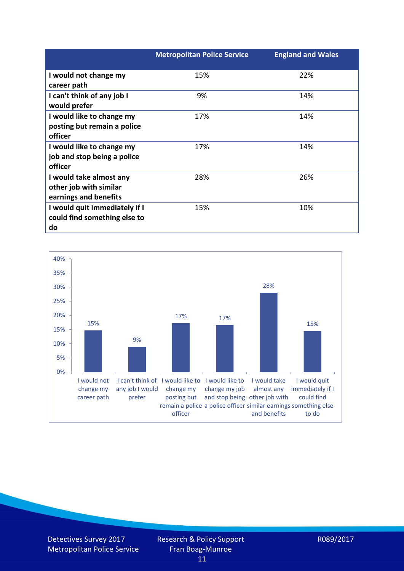|                               | <b>Metropolitan Police Service</b> | <b>England and Wales</b> |
|-------------------------------|------------------------------------|--------------------------|
| I would not change my         | 15%                                | 22%                      |
| career path                   |                                    |                          |
| I can't think of any job I    | 9%                                 | 14%                      |
| would prefer                  |                                    |                          |
| I would like to change my     | 17%                                | 14%                      |
| posting but remain a police   |                                    |                          |
| officer                       |                                    |                          |
| I would like to change my     | 17%                                | 14%                      |
| job and stop being a police   |                                    |                          |
| officer                       |                                    |                          |
| I would take almost any       | 28%                                | 26%                      |
| other job with similar        |                                    |                          |
| earnings and benefits         |                                    |                          |
| I would quit immediately if I | 15%                                | 10%                      |
| could find something else to  |                                    |                          |
| do                            |                                    |                          |